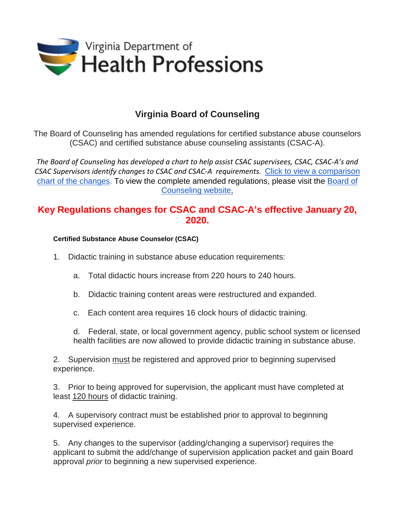

## **Virginia Board of Counseling**

The Board of Counseling has amended regulations for certified substance abuse counselors (CSAC) and certified substance abuse counseling assistants (CSAC-A).

*The Board of Counseling has developed a chart to help assist CSAC supervisees, CSAC, CSAC-A's and CSAC Supervisors identify changes to CSAC and CSAC-A requirements.* [Click to view a comparison](https://www.dhp.virginia.gov/counseling/docs/CSAC%20RegulationChange.pdf)  [chart of the changes.](https://www.dhp.virginia.gov/counseling/docs/CSAC%20RegulationChange.pdf) To view the complete amended regulations, please visit the [Board of](https://www.dhp.virginia.gov/counseling/counseling_laws_regs.htm)  [Counseling website.](https://www.dhp.virginia.gov/counseling/counseling_laws_regs.htm)

## **Key Regulations changes for CSAC and CSAC-A's effective January 20, 2020.**

## **Certified Substance Abuse Counselor (CSAC)**

- 1. Didactic training in substance abuse education requirements:
	- a. Total didactic hours increase from 220 hours to 240 hours.
	- b. Didactic training content areas were restructured and expanded.
	- c. Each content area requires 16 clock hours of didactic training.
	- d. Federal, state, or local government agency, public school system or licensed health facilities are now allowed to provide didactic training in substance abuse.

2. Supervision must be registered and approved prior to beginning supervised experience.

3. Prior to being approved for supervision, the applicant must have completed at least 120 hours of didactic training.

4. A supervisory contract must be established prior to approval to beginning supervised experience.

5. Any changes to the supervisor (adding/changing a supervisor) requires the applicant to submit the add/change of supervision application packet and gain Board approval *prior* to beginning a new supervised experience.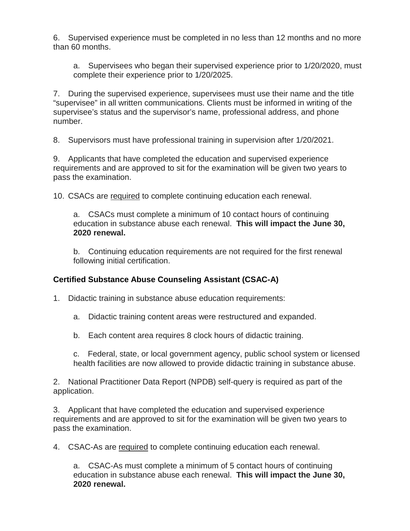6. Supervised experience must be completed in no less than 12 months and no more than 60 months.

a. Supervisees who began their supervised experience prior to 1/20/2020, must complete their experience prior to 1/20/2025.

7. During the supervised experience, supervisees must use their name and the title "supervisee" in all written communications. Clients must be informed in writing of the supervisee's status and the supervisor's name, professional address, and phone number.

8. Supervisors must have professional training in supervision after 1/20/2021.

9. Applicants that have completed the education and supervised experience requirements and are approved to sit for the examination will be given two years to pass the examination.

10. CSACs are required to complete continuing education each renewal.

a. CSACs must complete a minimum of 10 contact hours of continuing education in substance abuse each renewal. **This will impact the June 30, 2020 renewal.**

b. Continuing education requirements are not required for the first renewal following initial certification.

## **Certified Substance Abuse Counseling Assistant (CSAC-A)**

1. Didactic training in substance abuse education requirements:

a. Didactic training content areas were restructured and expanded.

b. Each content area requires 8 clock hours of didactic training.

c. Federal, state, or local government agency, public school system or licensed health facilities are now allowed to provide didactic training in substance abuse.

2. National Practitioner Data Report (NPDB) self-query is required as part of the application.

3. Applicant that have completed the education and supervised experience requirements and are approved to sit for the examination will be given two years to pass the examination.

4. CSAC-As are required to complete continuing education each renewal.

a. CSAC-As must complete a minimum of 5 contact hours of continuing education in substance abuse each renewal. **This will impact the June 30, 2020 renewal.**